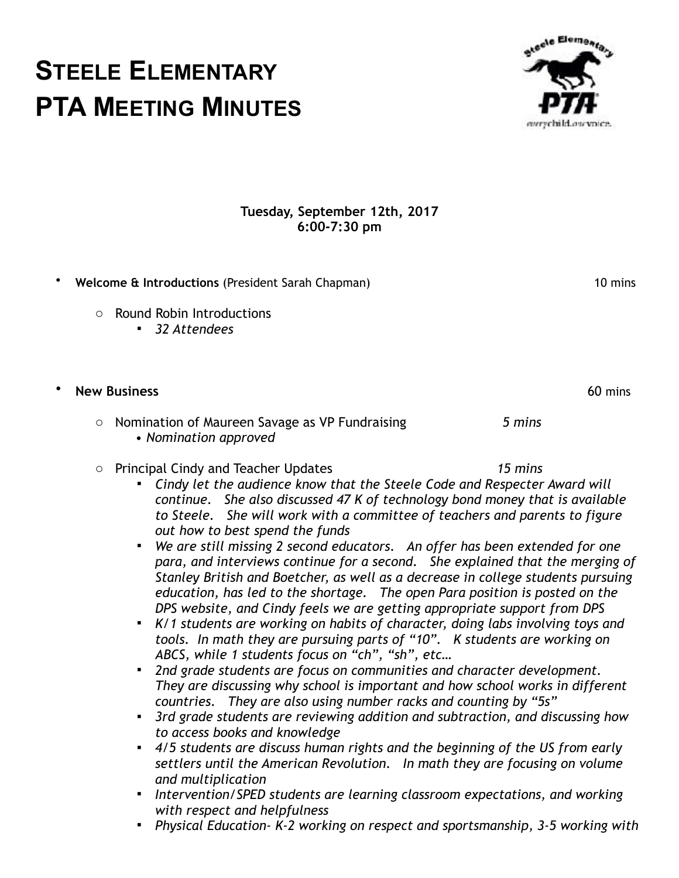### **Tuesday, September 12th, 2017 6:00-7:30 pm**

• **Welcome & Introductions** (President Sarah Chapman) 10 mins

o Round Robin Introductions

**STEELE ELEMENTARY**

**PTA MEETING MINUTES**

▪ *32 Attendees* 

# • **New Business** 60 mins

### o Nomination of Maureen Savage as VP Fundraising *5 mins*  • *Nomination approved*

- o Principal Cindy and Teacher Updates *15 mins* 
	- *Cindy let the audience know that the Steele Code and Respecter Award will continue. She also discussed 47 K of technology bond money that is available to Steele. She will work with a committee of teachers and parents to figure out how to best spend the funds*
	- *We are still missing 2 second educators. An offer has been extended for one para, and interviews continue for a second. She explained that the merging of Stanley British and Boetcher, as well as a decrease in college students pursuing education, has led to the shortage. The open Para position is posted on the DPS website, and Cindy feels we are getting appropriate support from DPS*
	- *K/1 students are working on habits of character, doing labs involving toys and tools. In math they are pursuing parts of "10". K students are working on ABCS, while 1 students focus on "ch", "sh", etc…*
	- *2nd grade students are focus on communities and character development. They are discussing why school is important and how school works in different countries. They are also using number racks and counting by "5s"*
	- *3rd grade students are reviewing addition and subtraction, and discussing how to access books and knowledge*
	- *4/5 students are discuss human rights and the beginning of the US from early settlers until the American Revolution. In math they are focusing on volume and multiplication*
	- *Intervention/SPED students are learning classroom expectations, and working with respect and helpfulness*
	- *Physical Education- K-2 working on respect and sportsmanship, 3-5 working with*

ecle Elementa